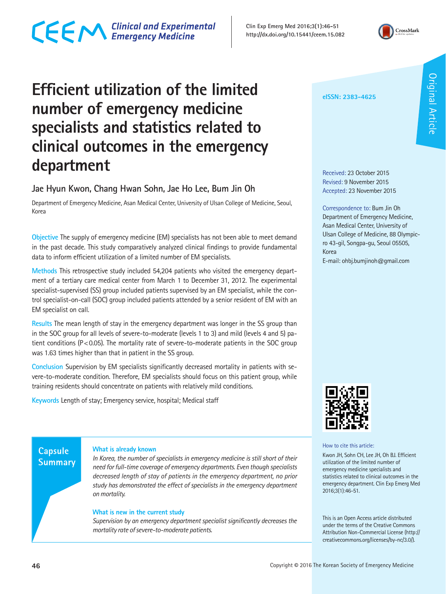## CECM Clinical and Experimental

**Clin Exp Emerg Med 2016;3(1):46-51 http://dx.doi.org/10.15441/ceem.15.082**



## **Efficient utilization of the limited number of emergency medicine specialists and statistics related to clinical outcomes in the emergency department**

## **Jae Hyun Kwon, Chang Hwan Sohn, Jae Ho Lee, Bum Jin Oh**

Department of Emergency Medicine, Asan Medical Center, University of Ulsan College of Medicine, Seoul, Korea

**Objective** The supply of emergency medicine (EM) specialists has not been able to meet demand in the past decade. This study comparatively analyzed clinical findings to provide fundamental data to inform efficient utilization of a limited number of EM specialists.

**Methods** This retrospective study included 54,204 patients who visited the emergency department of a tertiary care medical center from March 1 to December 31, 2012. The experimental specialist-supervised (SS) group included patients supervised by an EM specialist, while the control specialist-on-call (SOC) group included patients attended by a senior resident of EM with an EM specialist on call.

**Results** The mean length of stay in the emergency department was longer in the SS group than in the SOC group for all levels of severe-to-moderate (levels 1 to 3) and mild (levels 4 and 5) patient conditions (P<0.05). The mortality rate of severe-to-moderate patients in the SOC group was 1.63 times higher than that in patient in the SS group.

**Conclusion** Supervision by EM specialists significantly decreased mortality in patients with severe-to-moderate condition. Therefore, EM specialists should focus on this patient group, while training residents should concentrate on patients with relatively mild conditions.

**Keywords** Length of stay; Emergency service, hospital; Medical staff

### **Capsule Summary**

#### **What is already known**

*In Korea, the number of specialists in emergency medicine is still short of their need for full-time coverage of emergency departments. Even though specialists decreased length of stay of patients in the emergency department, no prior study has demonstrated the effect of specialists in the emergency department on mortality.*

#### **What is new in the current study**

*Supervision by an emergency department specialist significantly decreases the mortality rate of severe-to-moderate patients.*

#### **eISSN: 2383-4625**

Received: 23 October 2015 Revised: 9 November 2015 Accepted: 23 November 2015

Correspondence to: Bum Jin Oh Department of Emergency Medicine, Asan Medical Center, University of Ulsan College of Medicine, 88 Olympicro 43-gil, Songpa-gu, Seoul 05505, Korea

E-mail: ohbj.bumjinoh@gmail.com



How to cite this article:

Kwon JH, Sohn CH, Lee JH, Oh BJ. Efficient utilization of the limited number of emergency medicine specialists and statistics related to clinical outcomes in the emergency department. Clin Exp Emerg Med 2016;3(1):46-51.

This is an Open Access article distributed under the terms of the Creative Commons Attribution Non-Commercial License (http:// creativecommons.org/licenses/by-nc/3.0/).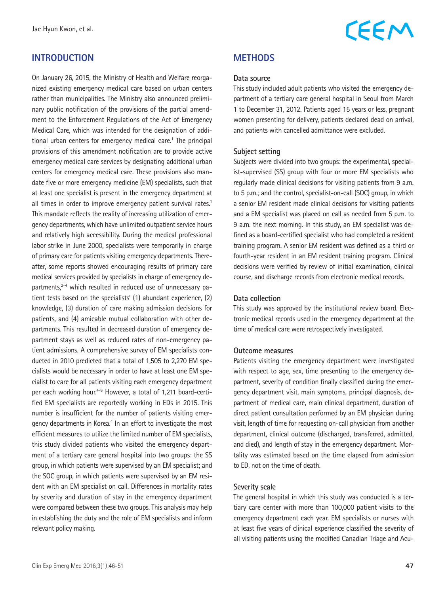## **INTRODUCTION**

On January 26, 2015, the Ministry of Health and Welfare reorganized existing emergency medical care based on urban centers rather than municipalities. The Ministry also announced preliminary public notification of the provisions of the partial amendment to the Enforcement Regulations of the Act of Emergency Medical Care, which was intended for the designation of additional urban centers for emergency medical care.<sup>1</sup> The principal provisions of this amendment notification are to provide active emergency medical care services by designating additional urban centers for emergency medical care. These provisions also mandate five or more emergency medicine (EM) specialists, such that at least one specialist is present in the emergency department at all times in order to improve emergency patient survival rates.<sup>1</sup> This mandate reflects the reality of increasing utilization of emergency departments, which have unlimited outpatient service hours and relatively high accessibility. During the medical professional labor strike in June 2000, specialists were temporarily in charge of primary care for patients visiting emergency departments. Thereafter, some reports showed encouraging results of primary care medical services provided by specialists in charge of emergency departments,<sup>2-4</sup> which resulted in reduced use of unnecessary patient tests based on the specialists' (1) abundant experience, (2) knowledge, (3) duration of care making admission decisions for patients, and (4) amicable mutual collaboration with other departments. This resulted in decreased duration of emergency department stays as well as reduced rates of non-emergency patient admissions. A comprehensive survey of EM specialists conducted in 2010 predicted that a total of 1,505 to 2,270 EM specialists would be necessary in order to have at least one EM specialist to care for all patients visiting each emergency department per each working hour.<sup>4-6</sup> However, a total of 1,211 board-certified EM specialists are reportedly working in EDs in 2015. This number is insufficient for the number of patients visiting emergency departments in Korea.<sup>4</sup> In an effort to investigate the most efficient measures to utilize the limited number of EM specialists, this study divided patients who visited the emergency department of a tertiary care general hospital into two groups: the SS group, in which patients were supervised by an EM specialist; and the SOC group, in which patients were supervised by an EM resident with an EM specialist on call. Differences in mortality rates by severity and duration of stay in the emergency department were compared between these two groups. This analysis may help in establishing the duty and the role of EM specialists and inform relevant policy making.

## CEEM

## **METHODS**

#### **Data source**

This study included adult patients who visited the emergency department of a tertiary care general hospital in Seoul from March 1 to December 31, 2012. Patients aged 15 years or less, pregnant women presenting for delivery, patients declared dead on arrival, and patients with cancelled admittance were excluded.

#### **Subject setting**

Subjects were divided into two groups: the experimental, specialist-supervised (SS) group with four or more EM specialists who regularly made clinical decisions for visiting patients from 9 a.m. to 5 p.m.; and the control, specialist-on-call (SOC) group, in which a senior EM resident made clinical decisions for visiting patients and a EM specialist was placed on call as needed from 5 p.m. to 9 a.m. the next morning. In this study, an EM specialist was defined as a board-certified specialist who had completed a resident training program. A senior EM resident was defined as a third or fourth-year resident in an EM resident training program. Clinical decisions were verified by review of initial examination, clinical course, and discharge records from electronic medical records.

#### **Data collection**

This study was approved by the institutional review board. Electronic medical records used in the emergency department at the time of medical care were retrospectively investigated.

#### **Outcome measures**

Patients visiting the emergency department were investigated with respect to age, sex, time presenting to the emergency department, severity of condition finally classified during the emergency department visit, main symptoms, principal diagnosis, department of medical care, main clinical department, duration of direct patient consultation performed by an EM physician during visit, length of time for requesting on-call physician from another department, clinical outcome (discharged, transferred, admitted, and died), and length of stay in the emergency department. Mortality was estimated based on the time elapsed from admission to ED, not on the time of death.

#### **Severity scale**

The general hospital in which this study was conducted is a tertiary care center with more than 100,000 patient visits to the emergency department each year. EM specialists or nurses with at least five years of clinical experience classified the severity of all visiting patients using the modified Canadian Triage and Acu-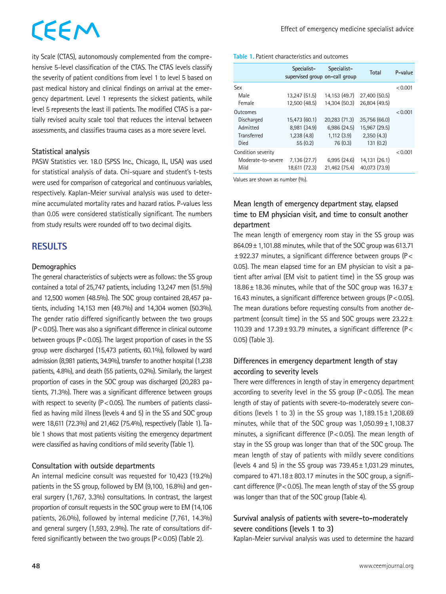# CEEM

ity Scale (CTAS), autonomously complemented from the comprehensive 5-level classification of the CTAS. The CTAS levels classify the severity of patient conditions from level 1 to level 5 based on past medical history and clinical findings on arrival at the emergency department. Level 1 represents the sickest patients, while level 5 represents the least ill patients. The modified CTAS is a partially revised acuity scale tool that reduces the interval between assessments, and classifies trauma cases as a more severe level.

#### **Statistical analysis**

PASW Statistics ver. 18.0 (SPSS Inc., Chicago, IL, USA) was used for statistical analysis of data. Chi-square and student's t-tests were used for comparison of categorical and continuous variables, respectively. Kaplan-Meier survival analysis was used to determine accumulated mortality rates and hazard ratios. P-values less than 0.05 were considered statistically significant. The numbers from study results were rounded off to two decimal digits.

## **RESULTS**

#### **Demographics**

The general characteristics of subjects were as follows: the SS group contained a total of 25,747 patients, including 13,247 men (51.5%) and 12,500 women (48.5%). The SOC group contained 28,457 patients, including 14,153 men (49.7%) and 14,304 women (50.3%). The gender ratio differed significantly between the two groups (P<0.05). There was also a significant difference in clinical outcome between groups ( $P < 0.05$ ). The largest proportion of cases in the SS group were discharged (15,473 patients, 60.1%), followed by ward admission (8,981 patients, 34.9%), transfer to another hospital (1,238 patients, 4.8%), and death (55 patients, 0.2%). Similarly, the largest proportion of cases in the SOC group was discharged (20,283 patients, 71.3%). There was a significant difference between groups with respect to severity ( $P < 0.05$ ). The numbers of patients classified as having mild illness (levels 4 and 5) in the SS and SOC group were 18,611 (72.3%) and 21,462 (75.4%), respectively (Table 1). Table 1 shows that most patients visiting the emergency department were classified as having conditions of mild severity (Table 1).

### **Consultation with outside departments**

An internal medicine consult was requested for 10,423 (19.2%) patients in the SS group, followed by EM (9,100, 16.8%) and general surgery (1,767, 3.3%) consultations. In contrast, the largest proportion of consult requests in the SOC group were to EM (14,106 patients, 26.0%), followed by internal medicine (7,761, 14.3%) and general surgery (1,593, 2.9%). The rate of consultations differed significantly between the two groups  $(P < 0.05)$  (Table 2).

#### **Table 1.** Patient characteristics and outcomes

|                                                                  | Specialist-<br>supervised group on-call group          | Specialist-                                            | Total                                                    | P-value |
|------------------------------------------------------------------|--------------------------------------------------------|--------------------------------------------------------|----------------------------------------------------------|---------|
| Sex<br>Male<br>Female                                            | 13.247 (51.5)<br>12.500 (48.5)                         | 14.153 (49.7)<br>14.304 (50.3)                         | 27,400 (50.5)<br>26.804 (49.5)                           | < 0.001 |
| Outcomes<br>Discharged<br>Admitted<br><b>Transferred</b><br>Died | 15.473 (60.1)<br>8.981 (34.9)<br>1.238(4.8)<br>55(0.2) | 20.283 (71.3)<br>6.986(24.5)<br>1.112(3.9)<br>76 (0.3) | 35.756 (66.0)<br>15,967 (29.5)<br>2.350(4.3)<br>131(0.2) | < 0.001 |
| Condition severity<br>Moderate-to-severe<br>Mild                 | 7.136(27.7)<br>18.611 (72.3)                           | 6.995(24.6)<br>21.462 (75.4)                           | 14.131 (26.1)<br>40.073 (73.9)                           | < 0.001 |

Values are shown as number (%).

## **Mean length of emergency department stay, elapsed time to EM physician visit, and time to consult another department**

The mean length of emergency room stay in the SS group was 864.09±1,101.88 minutes, while that of the SOC group was 613.71 ±922.37 minutes, a significant difference between groups (P< 0.05). The mean elapsed time for an EM physician to visit a patient after arrival (EM visit to patient time) in the SS group was 18.86±18.36 minutes, while that of the SOC group was 16.37± 16.43 minutes, a significant difference between groups (P<0.05). The mean durations before requesting consults from another department (consult time) in the SS and SOC groups were  $23.22 \pm$ 110.39 and  $17.39 \pm 93.79$  minutes, a significant difference (P< 0.05) (Table 3).

### **Differences in emergency department length of stay according to severity levels**

There were differences in length of stay in emergency department according to severity level in the SS group ( $P < 0.05$ ). The mean length of stay of patients with severe-to-moderately severe conditions (levels 1 to 3) in the SS group was  $1,189.15 \pm 1,208.69$ minutes, while that of the SOC group was 1,050.99±1,108.37 minutes, a significant difference ( $P < 0.05$ ). The mean length of stay in the SS group was longer than that of the SOC group. The mean length of stay of patients with mildly severe conditions (levels 4 and 5) in the SS group was  $739.45 \pm 1,031.29$  minutes, compared to  $471.18 \pm 803.17$  minutes in the SOC group, a significant difference ( $P < 0.05$ ). The mean length of stay of the SS group was longer than that of the SOC group (Table 4).

### **Survival analysis of patients with severe-to-moderately severe conditions (levels 1 to 3)**

Kaplan-Meier survival analysis was used to determine the hazard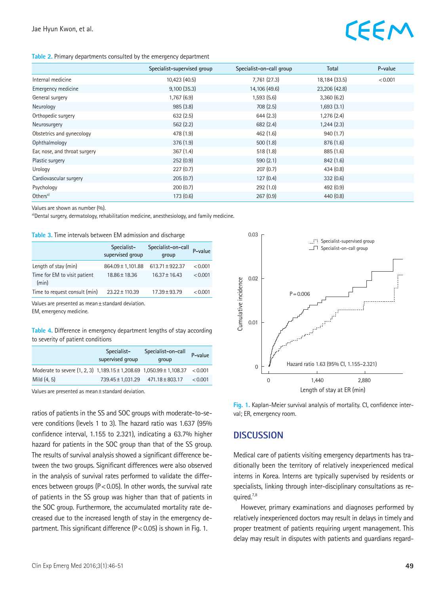#### **Table 2.** Primary departments consulted by the emergency department

|                               | Specialist-supervised group | Specialist-on-call group | Total         | P-value |
|-------------------------------|-----------------------------|--------------------------|---------------|---------|
| Internal medicine             | 10,423 (40.5)               | 7,761 (27.3)             | 18,184 (33.5) | < 0.001 |
| Emergency medicine            | 9,100(35.3)                 | 14,106 (49.6)            | 23,206 (42.8) |         |
| General surgery               | 1,767(6.9)                  | 1,593(5.6)               | 3,360(6.2)    |         |
| Neurology                     | 985(3.8)                    | 708(2.5)                 | 1,693(3.1)    |         |
| Orthopedic surgery            | 632(2.5)                    | 644(2.3)                 | 1,276 (2.4)   |         |
| Neurosurgery                  | 562(2.2)                    | 682 (2.4)                | 1,244(2.3)    |         |
| Obstetrics and gynecology     | 478 (1.9)                   | 462(1.6)                 | 940(1.7)      |         |
| Ophthalmology                 | 376(1.9)                    | 500(1.8)                 | 876(1.6)      |         |
| Ear, nose, and throat surgery | 367(1.4)                    | 518(1.8)                 | 885 (1.6)     |         |
| Plastic surgery               | 252(0.9)                    | 590(2.1)                 | 842 (1.6)     |         |
| Urology                       | 227(0.7)                    | 207(0.7)                 | 434(0.8)      |         |
| Cardiovascular surgery        | 205(0.7)                    | 127(0.4)                 | 332(0.6)      |         |
| Psychology                    | 200(0.7)                    | 292(1.0)                 | 492(0.9)      |         |
| Others <sup>a)</sup>          | 173(0.6)                    | 267(0.9)                 | 440(0.8)      |         |

Values are shown as number (%).

a)Dental surgery, dermatology, rehabilitation medicine, anesthesiology, and family medicine.

| <b>TOUR OF THIS HIRE ROD UCLIVECH ENT QUITIDDIVIT QUA QUOCHQIQC</b> |                                 |                             |         |  |  |
|---------------------------------------------------------------------|---------------------------------|-----------------------------|---------|--|--|
|                                                                     | Specialist-<br>supervised group | Specialist-on-call<br>group | P-value |  |  |
| Length of stay (min)                                                | $864.09 \pm 1,101.88$           | $613.71 \pm 922.37$         | < 0.001 |  |  |
| Time for EM to visit patient<br>(min)                               | 18.86 ± 18.36                   | $16.37 \pm 16.43$           | < 0.001 |  |  |
| Time to request consult (min)                                       | $23.22 \pm 110.39$              | $17.39 + 93.79$             | < 0.001 |  |  |

**Table 3.** Time intervals between EM admission and discharge

Values are presented as mean±standard deviation.

EM, emergency medicine.

**Table 4.** Difference in emergency department lengths of stay according to severity of patient conditions

|                                                                              | Specialist-<br>supervised group   | Specialist-on-call<br>group | P-value |
|------------------------------------------------------------------------------|-----------------------------------|-----------------------------|---------|
| Moderate to severe (1, 2, 3) 1,189.15 ± 1,208.69 1,050.99 ± 1,108.37 < 0.001 |                                   |                             |         |
| Mild (4, 5)                                                                  | 739.45 ± 1.031.29 471.18 ± 803.17 |                             | < 0.001 |

Values are presented as mean±standard deviation.

ratios of patients in the SS and SOC groups with moderate-to-severe conditions (levels 1 to 3). The hazard ratio was 1.637 (95% confidence interval, 1.155 to 2.321), indicating a 63.7% higher hazard for patients in the SOC group than that of the SS group. The results of survival analysis showed a significant difference between the two groups. Significant differences were also observed in the analysis of survival rates performed to validate the differences between groups ( $P < 0.05$ ). In other words, the survival rate of patients in the SS group was higher than that of patients in the SOC group. Furthermore, the accumulated mortality rate decreased due to the increased length of stay in the emergency department. This significant difference  $(P < 0.05)$  is shown in Fig. 1.



**Fig. 1.** Kaplan-Meier survival analysis of mortality. CI, confidence interval; ER, emergency room.

### **DISCUSSION**

Medical care of patients visiting emergency departments has traditionally been the territory of relatively inexperienced medical interns in Korea. Interns are typically supervised by residents or specialists, linking through inter-disciplinary consultations as required.7,8

However, primary examinations and diagnoses performed by relatively inexperienced doctors may result in delays in timely and proper treatment of patients requiring urgent management. This delay may result in disputes with patients and guardians regard-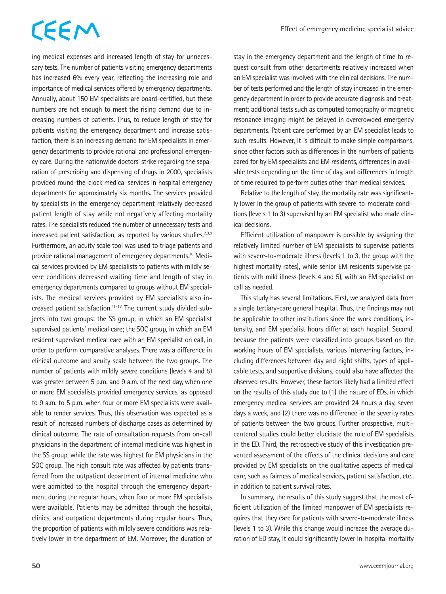## CEEM

ing medical expenses and increased length of stay for unnecessary tests. The number of patients visiting emergency departments has increased 6% every year, reflecting the increasing role and importance of medical services offered by emergency departments. Annually, about 150 EM specialists are board-certified, but these numbers are not enough to meet the rising demand due to increasing numbers of patients. Thus, to reduce length of stay for patients visiting the emergency department and increase satisfaction, there is an increasing demand for EM specialists in emergency departments to provide rational and professional emergency care. During the nationwide doctors' strike regarding the separation of prescribing and dispensing of drugs in 2000, specialists provided round-the-clock medical services in hospital emergency departments for approximately six months. The services provided by specialists in the emergency department relatively decreased patient length of stay while not negatively affecting mortality rates. The specialists reduced the number of unnecessary tests and increased patient satisfaction, as reported by various studies.<sup>2,3,9</sup> Furthermore, an acuity scale tool was used to triage patients and provide rational management of emergency departments.<sup>10</sup> Medical services provided by EM specialists to patients with mildly severe conditions decreased waiting time and length of stay in emergency departments compared to groups without EM specialists. The medical services provided by EM specialists also increased patient satisfaction.11-13 The current study divided subjects into two groups: the SS group, in which an EM specialist supervised patients' medical care; the SOC group, in which an EM resident supervised medical care with an EM specialist on call, in order to perform comparative analyses. There was a difference in clinical outcome and acuity scale between the two groups. The number of patients with mildly severe conditions (levels 4 and 5) was greater between 5 p.m. and 9 a.m. of the next day, when one or more EM specialists provided emergency services, as opposed to 9 a.m. to 5 p.m. when four or more EM specialists were available to render services. Thus, this observation was expected as a result of increased numbers of discharge cases as determined by clinical outcome. The rate of consultation requests from on-call physicians in the department of internal medicine was highest in the SS group, while the rate was highest for EM physicians in the SOC group. The high consult rate was affected by patients transferred from the outpatient department of internal medicine who were admitted to the hospital through the emergency department during the regular hours, when four or more EM specialists were available. Patients may be admitted through the hospital, clinics, and outpatient departments during regular hours. Thus, the proportion of patients with mildly severe conditions was relatively lower in the department of EM. Moreover, the duration of stay in the emergency department and the length of time to request consult from other departments relatively increased when an EM specialist was involved with the clinical decisions. The number of tests performed and the length of stay increased in the emergency department in order to provide accurate diagnosis and treatment; additional tests such as computed tomography or magnetic resonance imaging might be delayed in overcrowded emergency departments. Patient care performed by an EM specialist leads to such results. However, it is difficult to make simple comparisons, since other factors such as differences in the numbers of patients cared for by EM specialists and EM residents, differences in available tests depending on the time of day, and differences in length of time required to perform duties other than medical services.

Relative to the length of stay, the mortality rate was significantly lower in the group of patients with severe-to-moderate conditions (levels 1 to 3) supervised by an EM specialist who made clinical decisions.

Efficient utilization of manpower is possible by assigning the relatively limited number of EM specialists to supervise patients with severe-to-moderate illness (levels 1 to 3, the group with the highest mortality rates), while senior EM residents supervise patients with mild illness (levels 4 and 5), with an EM specialist on call as needed.

This study has several limitations. First, we analyzed data from a single tertiary-care general hospital. Thus, the findings may not be applicable to other institutions since the work conditions, intensity, and EM specialist hours differ at each hospital. Second, because the patients were classified into groups based on the working hours of EM specialists, various intervening factors, including differences between day and night shifts, types of applicable tests, and supportive divisions, could also have affected the observed results. However, these factors likely had a limited effect on the results of this study due to (1) the nature of EDs, in which emergency medical services are provided 24 hours a day, seven days a week, and (2) there was no difference in the severity rates of patients between the two groups. Further prospective, multicentered studies could better elucidate the role of EM specialists in the ED. Third, the retrospective study of this investigation prevented assessment of the effects of the clinical decisions and care provided by EM specialists on the qualitative aspects of medical care, such as fairness of medical services, patient satisfaction, etc., in addition to patient survival rates.

In summary, the results of this study suggest that the most efficient utilization of the limited manpower of EM specialists requires that they care for patients with severe-to-moderate illness (levels 1 to 3). While this change would increase the average duration of ED stay, it could significantly lower in-hospital mortality